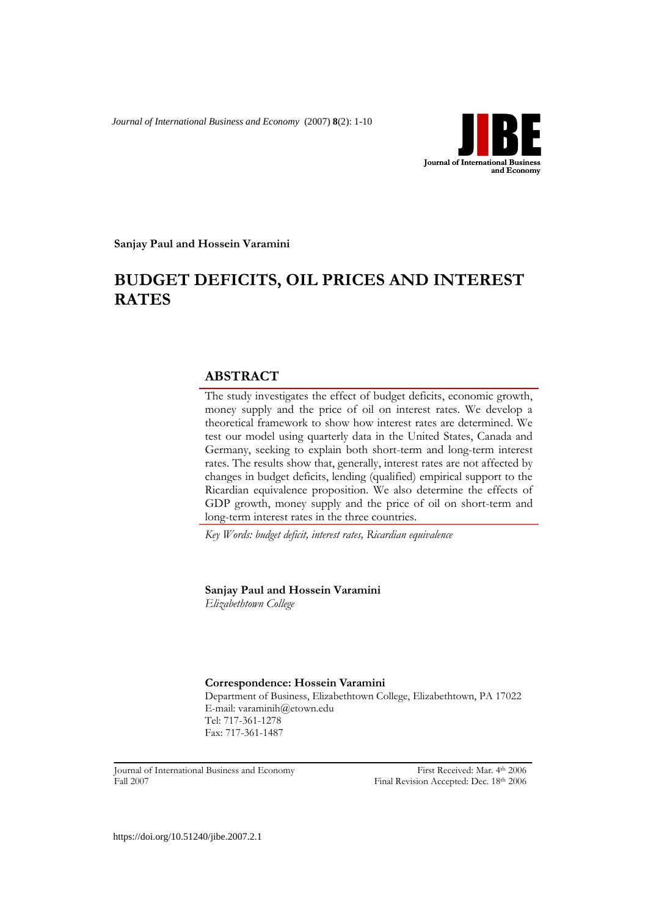*Journal of International Business and Economy* (2007) **8**(2): 1-10



**Sanjay Paul and Hossein Varamini**

# **BUDGET DEFICITS, OIL PRICES AND INTEREST RATES**

# **ABSTRACT**

The study investigates the effect of budget deficits, economic growth, money supply and the price of oil on interest rates. We develop a theoretical framework to show how interest rates are determined. We test our model using quarterly data in the United States, Canada and Germany, seeking to explain both short-term and long-term interest rates. The results show that, generally, interest rates are not affected by changes in budget deficits, lending (qualified) empirical support to the Ricardian equivalence proposition. We also determine the effects of GDP growth, money supply and the price of oil on short-term and long-term interest rates in the three countries.

*Key Words: budget deficit, interest rates, Ricardian equivalence*

**Sanjay Paul and Hossein Varamini**

*Elizabethtown College*

**Correspondence: Hossein Varamini** Department of Business, Elizabethtown College, Elizabethtown, PA 17022 E-mail: varaminih@etown.edu Tel: 717-361-1278 Fax: 717-361-1487

Journal of International Business and Economy First Received: Mar. 4th 2006 Fall 2007Final Revision Accepted: Dec. 18th 2006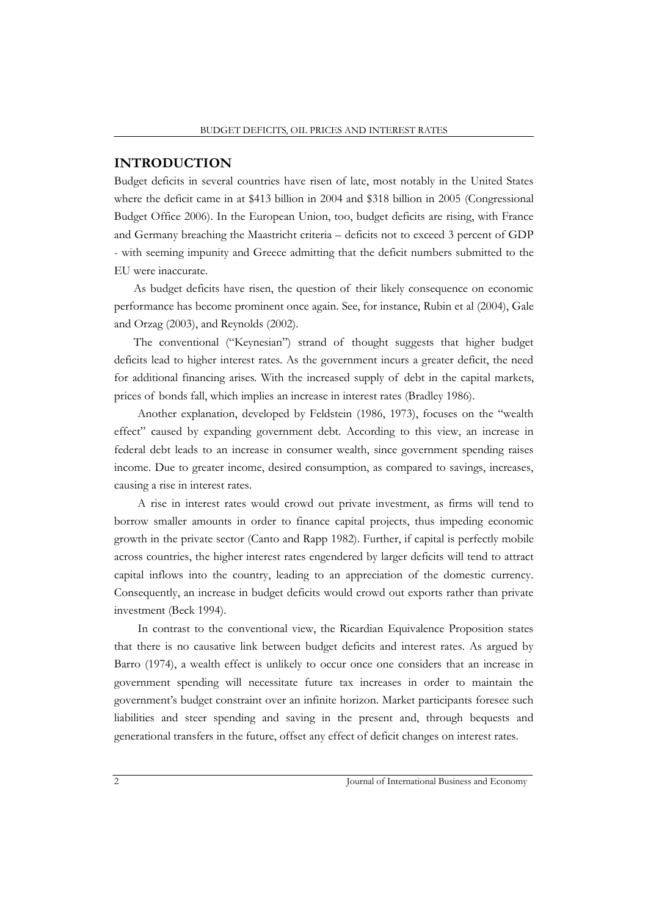## **INTRODUCTION**

Budget deficits in several countries have risen of late, most notably in the United States where the deficit came in at \$413 billion in 2004 and \$318 billion in 2005 (Congressional Budget Office 2006). In the European Union, too, budget deficits are rising, with France and Germany breaching the Maastricht criteria – deficits not to exceed 3 percent of GDP - with seeming impunity and Greece admitting that the deficit numbers submitted to the EU were inaccurate.

As budget deficits have risen, the question of their likely consequence on economic performance has become prominent once again. See, for instance, Rubin et al (2004), Gale and Orzag (2003), and Reynolds (2002).

The conventional ("Keynesian") strand of thought suggests that higher budget deficits lead to higher interest rates. As the government incurs a greater deficit, the need for additional financing arises. With the increased supply of debt in the capital markets, prices of bonds fall, which implies an increase in interest rates (Bradley 1986).

Another explanation, developed by Feldstein (1986, 1973), focuses on the "wealth effect" caused by expanding government debt. According to this view, an increase in federal debt leads to an increase in consumer wealth, since government spending raises income. Due to greater income, desired consumption, as compared to savings, increases, causing a rise in interest rates.

A rise in interest rates would crowd out private investment, as firms will tend to borrow smaller amounts in order to finance capital projects, thus impeding economic growth in the private sector (Canto and Rapp 1982). Further, if capital is perfectly mobile across countries, the higher interest rates engendered by larger deficits will tend to attract capital inflows into the country, leading to an appreciation of the domestic currency. Consequently, an increase in budget deficits would crowd out exports rather than private investment (Beck 1994).

In contrast to the conventional view, the Ricardian Equivalence Proposition states that there is no causative link between budget deficits and interest rates. As argued by Barro (1974), a wealth effect is unlikely to occur once one considers that an increase in government spending will necessitate future tax increases in order to maintain the government's budget constraint over an infinite horizon. Market participants foresee such liabilities and steer spending and saving in the present and, through bequests and generational transfers in the future, offset any effect of deficit changes on interest rates.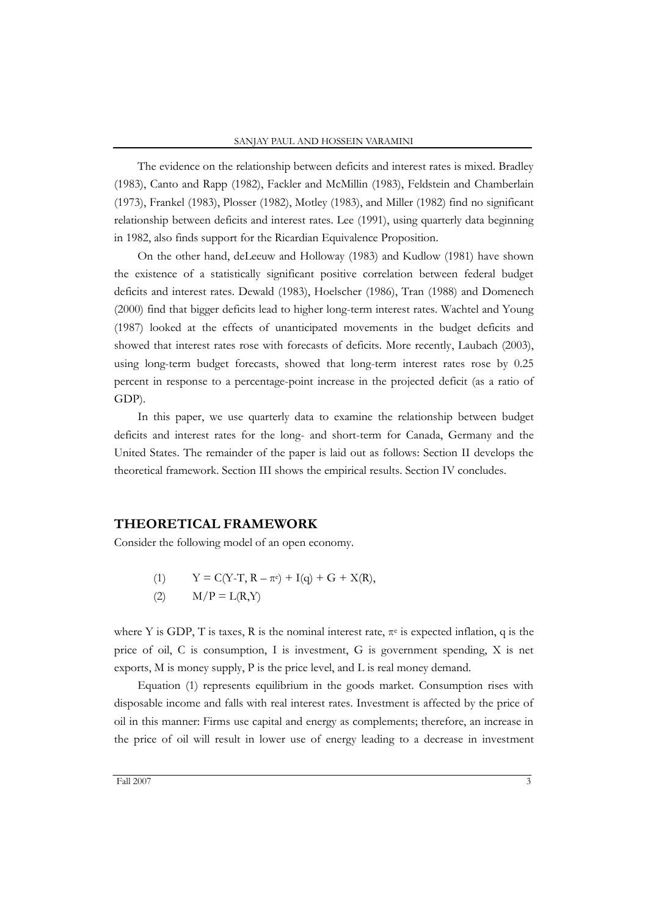The evidence on the relationship between deficits and interest rates is mixed. Bradley (1983), Canto and Rapp (1982), Fackler and McMillin (1983), Feldstein and Chamberlain (1973), Frankel (1983), Plosser (1982), Motley (1983), and Miller (1982) find no significant relationship between deficits and interest rates. Lee (1991), using quarterly data beginning in 1982, also finds support for the Ricardian Equivalence Proposition.

On the other hand, deLeeuw and Holloway (1983) and Kudlow (1981) have shown the existence of a statistically significant positive correlation between federal budget deficits and interest rates. Dewald (1983), Hoelscher (1986), Tran (1988) and Domenech (2000) find that bigger deficits lead to higher long-term interest rates. Wachtel and Young (1987) looked at the effects of unanticipated movements in the budget deficits and showed that interest rates rose with forecasts of deficits. More recently, Laubach (2003), using long-term budget forecasts, showed that long-term interest rates rose by 0.25 percent in response to a percentage-point increase in the projected deficit (as a ratio of GDP).

In this paper, we use quarterly data to examine the relationship between budget deficits and interest rates for the long- and short-term for Canada, Germany and the United States. The remainder of the paper is laid out as follows: Section II develops the theoretical framework. Section III shows the empirical results. Section IV concludes.

## **THEORETICAL FRAMEWORK**

Consider the following model of an open economy.

- (1)  $Y = C(Y-T, R \pi^e) + I(q) + G + X(R),$
- (2)  $M/P = L(R, Y)$

where Y is GDP, T is taxes, R is the nominal interest rate,  $\pi$ <sup>e</sup> is expected inflation, q is the price of oil, C is consumption, I is investment, G is government spending, X is net exports, M is money supply, P is the price level, and L is real money demand.

Equation (1) represents equilibrium in the goods market. Consumption rises with disposable income and falls with real interest rates. Investment is affected by the price of oil in this manner: Firms use capital and energy as complements; therefore, an increase in the price of oil will result in lower use of energy leading to a decrease in investment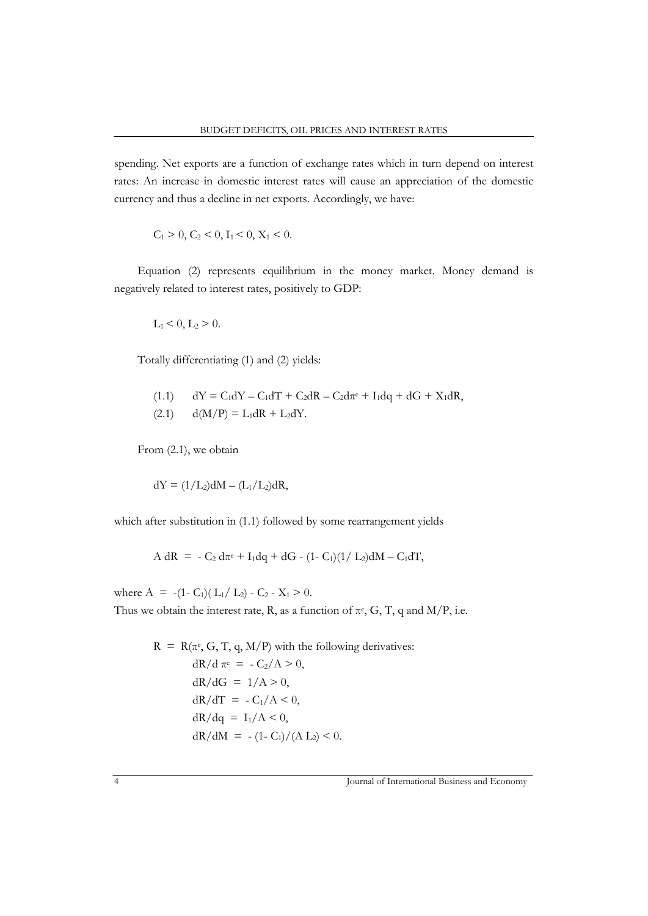spending. Net exports are a function of exchange rates which in turn depend on interest rates: An increase in domestic interest rates will cause an appreciation of the domestic currency and thus a decline in net exports. Accordingly, we have:

$$
C_1 > 0, C_2 < 0, I_1 < 0, X_1 < 0.
$$

Equation (2) represents equilibrium in the money market. Money demand is negatively related to interest rates, positively to GDP:

$$
L_1 < 0, L_2 > 0.
$$

Totally differentiating (1) and (2) yields:

(1.1)  $dY = C_1 dY - C_1 dT + C_2 dR - C_2 d\pi e + I_1 dq + dG + X_1 dR$ ,  $d(M/P) = L_1 dR + L_2 dY.$ 

From (2.1), we obtain

$$
dY = (1/L_2)dM - (L_1/L_2)dR,
$$

which after substitution in (1.1) followed by some rearrangement yields

$$
A \, dR = -C_2 \, d\pi^e + I_1 dq + dG - (1 - C_1)(1 / L_2)dM - C_1 dT,
$$

where  $A = -(1 - C_1)(L_1/L_2) - C_2 - X_1 > 0$ . Thus we obtain the interest rate, R, as a function of  $\pi$ <sup>e</sup>, G, T, q and M/P, i.e.

$$
R = R(\pi^e, G, T, q, M/P) \text{ with the following derivatives:}
$$
\n
$$
dR/d\pi^e = -C_2/A > 0,
$$
\n
$$
dR/dG = 1/A > 0,
$$
\n
$$
dR/dT = -C_1/A < 0,
$$
\n
$$
dR/dq = I_1/A < 0,
$$
\n
$$
dR/dM = -(1 - C_1)/(A L_2) < 0.
$$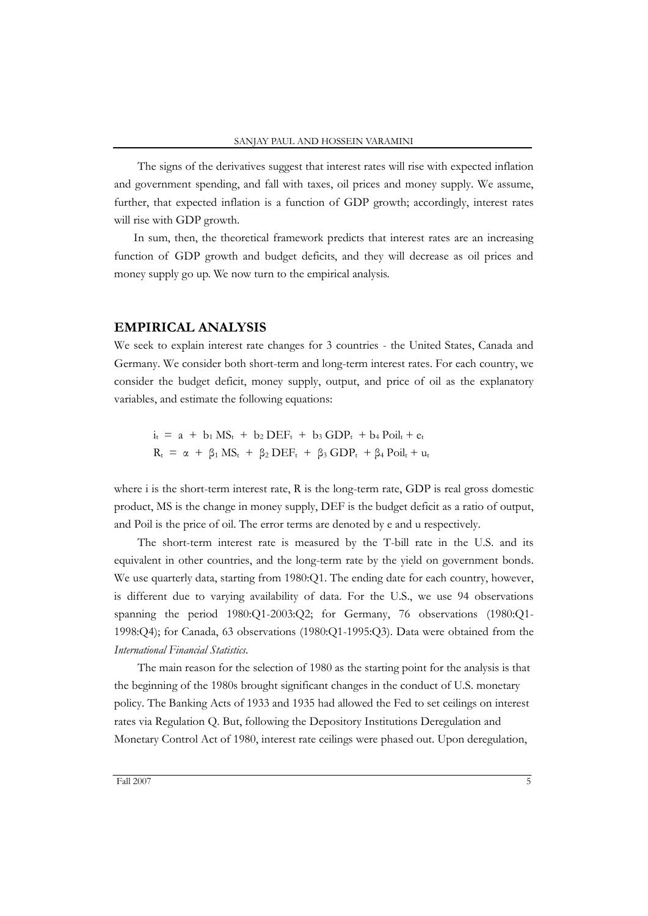The signs of the derivatives suggest that interest rates will rise with expected inflation and government spending, and fall with taxes, oil prices and money supply. We assume, further, that expected inflation is a function of GDP growth; accordingly, interest rates will rise with GDP growth.

In sum, then, the theoretical framework predicts that interest rates are an increasing function of GDP growth and budget deficits, and they will decrease as oil prices and money supply go up. We now turn to the empirical analysis.

### **EMPIRICAL ANALYSIS**

We seek to explain interest rate changes for 3 countries - the United States, Canada and Germany. We consider both short-term and long-term interest rates. For each country, we consider the budget deficit, money supply, output, and price of oil as the explanatory variables, and estimate the following equations:

 $i_t$  = a + b<sub>1</sub> MS<sub>t</sub> + b<sub>2</sub> DEF<sub>t</sub> + b<sub>3</sub> GDP<sub>t</sub> + b<sub>4</sub> Poil<sub>t</sub> + e<sub>t</sub>  $R_t = \alpha + \beta_1 MS_t + \beta_2 DEF_t + \beta_3 GDP_t + \beta_4 Pol_t + u_t$ 

where i is the short-term interest rate, R is the long-term rate, GDP is real gross domestic product, MS is the change in money supply, DEF is the budget deficit as a ratio of output, and Poil is the price of oil. The error terms are denoted by e and u respectively.

The short-term interest rate is measured by the T-bill rate in the U.S. and its equivalent in other countries, and the long-term rate by the yield on government bonds. We use quarterly data, starting from 1980:Q1. The ending date for each country, however, is different due to varying availability of data. For the U.S., we use 94 observations spanning the period 1980:Q1-2003:Q2; for Germany, 76 observations (1980:Q1- 1998:Q4); for Canada, 63 observations (1980:Q1-1995:Q3). Data were obtained from the *International Financial Statistics*.

The main reason for the selection of 1980 as the starting point for the analysis is that the beginning of the 1980s brought significant changes in the conduct of U.S. monetary policy. The Banking Acts of 1933 and 1935 had allowed the Fed to set ceilings on interest rates via Regulation Q. But, following the Depository Institutions Deregulation and Monetary Control Act of 1980, interest rate ceilings were phased out. Upon deregulation,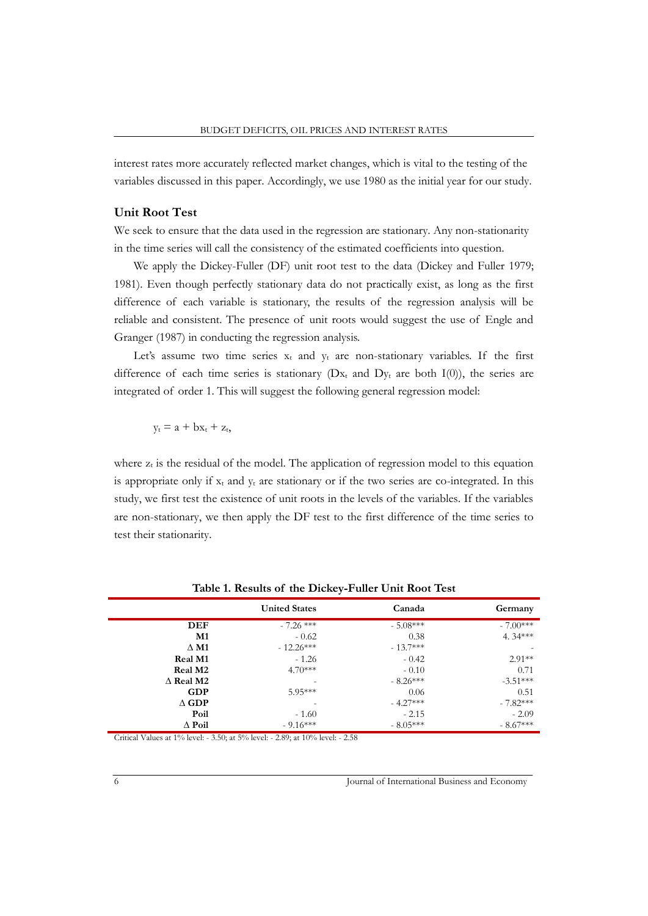interest rates more accurately reflected market changes, which is vital to the testing of the variables discussed in this paper. Accordingly, we use 1980 as the initial year for our study.

## **Unit Root Test**

We seek to ensure that the data used in the regression are stationary. Any non-stationarity in the time series will call the consistency of the estimated coefficients into question.

We apply the Dickey-Fuller (DF) unit root test to the data (Dickey and Fuller 1979; 1981). Even though perfectly stationary data do not practically exist, as long as the first difference of each variable is stationary, the results of the regression analysis will be reliable and consistent. The presence of unit roots would suggest the use of Engle and Granger (1987) in conducting the regression analysis.

Let's assume two time series  $x_t$  and  $y_t$  are non-stationary variables. If the first difference of each time series is stationary ( $Dx_t$  and  $Dy_t$  are both I(0)), the series are integrated of order 1. This will suggest the following general regression model:

$$
y_t = a + bx_t + z_t,
$$

where  $z_t$  is the residual of the model. The application of regression model to this equation is appropriate only if  $x_t$  and  $y_t$  are stationary or if the two series are co-integrated. In this study, we first test the existence of unit roots in the levels of the variables. If the variables are non-stationary, we then apply the DF test to the first difference of the time series to test their stationarity.

|                  | <b>United States</b> | Canada     | Germany                  |
|------------------|----------------------|------------|--------------------------|
| <b>DEF</b>       | $-7.26$ ***          | $-5.08***$ | $-7.00***$               |
| M1               | $-0.62$              | 0.38       | 4.34***                  |
| $\Delta$ M1      | $-12.26***$          | $-13.7***$ | $\overline{\phantom{0}}$ |
| <b>Real M1</b>   | $-1.26$              | $-0.42$    | $2.91**$                 |
| <b>Real M2</b>   | $4.70***$            | $-0.10$    | 0.71                     |
| $\Delta$ Real M2 |                      | $-8.26***$ | $-3.51***$               |
| <b>GDP</b>       | $5.95***$            | 0.06       | 0.51                     |
| $\Delta$ GDP     |                      | $-4.27***$ | $-7.82***$               |
| Poil             | $-1.60$              | $-2.15$    | $-2.09$                  |
| $\Delta$ Poil    | $-9.16***$           | $-8.05***$ | $-8.67***$               |

**Table 1. Results of the Dickey-Fuller Unit Root Test**

Critical Values at 1% level: - 3.50; at 5% level: - 2.89; at 10% level: - 2.58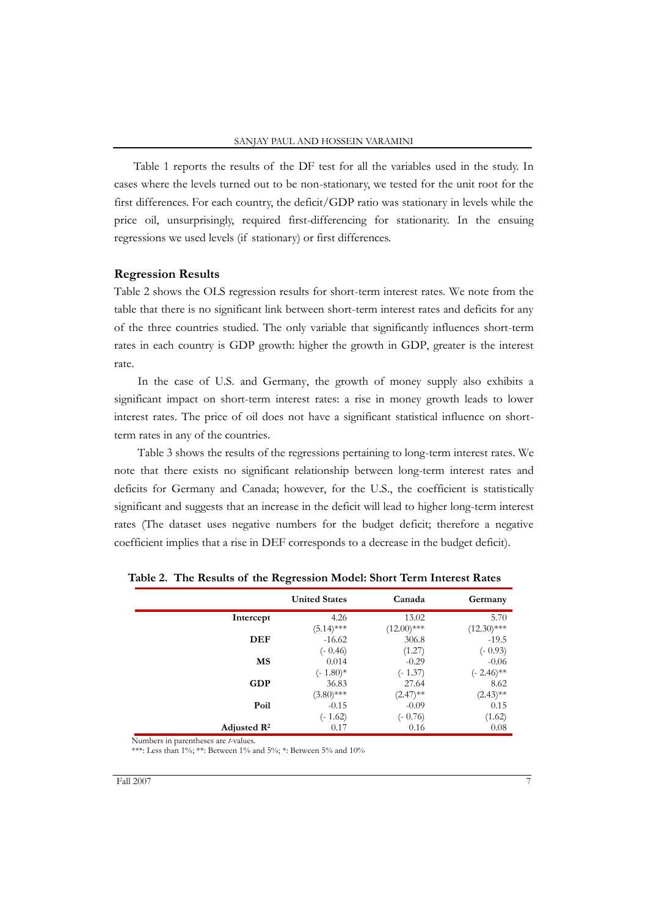Table 1 reports the results of the DF test for all the variables used in the study. In cases where the levels turned out to be non-stationary, we tested for the unit root for the first differences. For each country, the deficit/GDP ratio was stationary in levels while the price oil, unsurprisingly, required first-differencing for stationarity. In the ensuing regressions we used levels (if stationary) or first differences.

#### **Regression Results**

Table 2 shows the OLS regression results for short-term interest rates. We note from the table that there is no significant link between short-term interest rates and deficits for any of the three countries studied. The only variable that significantly influences short-term rates in each country is GDP growth: higher the growth in GDP, greater is the interest rate.

In the case of U.S. and Germany, the growth of money supply also exhibits a significant impact on short-term interest rates: a rise in money growth leads to lower interest rates. The price of oil does not have a significant statistical influence on shortterm rates in any of the countries.

Table 3 shows the results of the regressions pertaining to long-term interest rates. We note that there exists no significant relationship between long-term interest rates and deficits for Germany and Canada; however, for the U.S., the coefficient is statistically significant and suggests that an increase in the deficit will lead to higher long-term interest rates (The dataset uses negative numbers for the budget deficit; therefore a negative coefficient implies that a rise in DEF corresponds to a decrease in the budget deficit).

|                         | <b>United States</b> | Canada        | Germany       |
|-------------------------|----------------------|---------------|---------------|
| Intercept               | 4.26                 | 13.02         | 5.70          |
|                         | $(5.14)$ ***         | $(12.00)$ *** | $(12.30)$ *** |
| <b>DEF</b>              | $-16.62$             | 306.8         | $-19.5$       |
|                         | $(-0.46)$            | (1.27)        | $(-0.93)$     |
| MS                      | 0.014                | $-0.29$       | $-0.06$       |
|                         | $(-1.80)*$           | $(-1.37)$     | $(-2.46)$ **  |
| <b>GDP</b>              | 36.83                | 27.64         | 8.62          |
|                         | $(3.80)$ ***         | $(2.47)$ **   | $(2.43)$ **   |
| Poil                    | $-0.15$              | $-0.09$       | 0.15          |
|                         | $(-1.62)$            | $(-0.76)$     | (1.62)        |
| Adjusted $\mathbb{R}^2$ | 0.17                 | 0.16          | 0.08          |

**Table 2. The Results of the Regression Model: Short Term Interest Rates**

Numbers in parentheses are *t*-values. \*\*\*: Less than 1%; \*\*: Between 1% and 5%; \*: Between 5% and 10%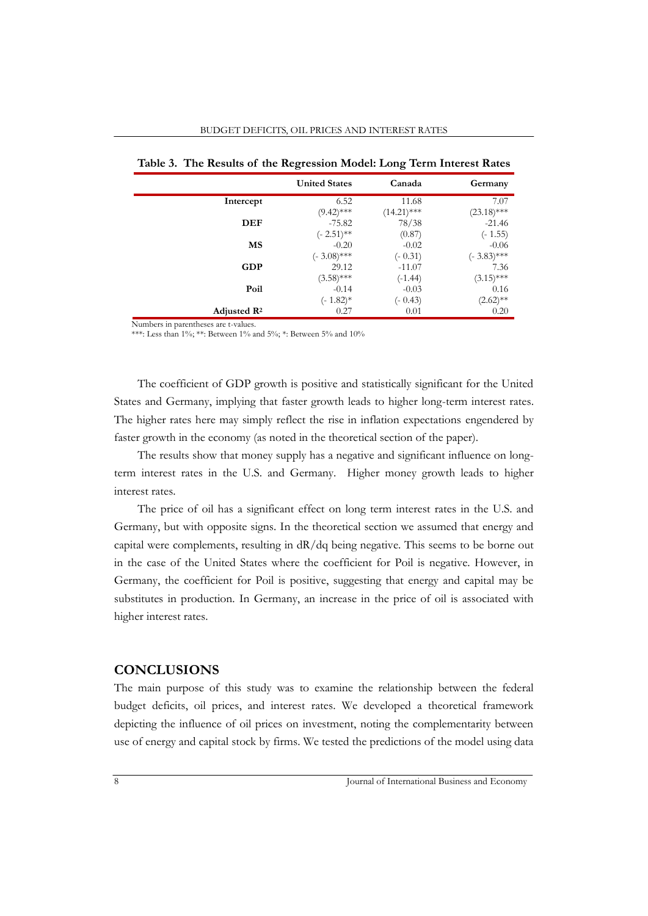| Table 3. The Results of the Regression Model: Long Term Interest Rates |                      |               |               |  |  |
|------------------------------------------------------------------------|----------------------|---------------|---------------|--|--|
|                                                                        | <b>United States</b> | Canada        | Germany       |  |  |
| Intercept                                                              | 6.52                 | 11.68         | 7.07          |  |  |
|                                                                        | $(9.42)$ ***         | $(14.21)$ *** | $(23.18)$ *** |  |  |
| <b>DEF</b>                                                             | $-75.82$             | 78/38         | $-21.46$      |  |  |
|                                                                        | $(-2.51)$ **         | (0.87)        | $(-1.55)$     |  |  |
| MS                                                                     | $-0.20$              | $-0.02$       | $-0.06$       |  |  |
|                                                                        | $(-3.08)$ ***        | $(-0.31)$     | $(-3.83)$ *** |  |  |
| <b>GDP</b>                                                             | 29.12                | $-11.07$      | 7.36          |  |  |
|                                                                        | $(3.58)$ ***         | $(-1.44)$     | $(3.15)$ ***  |  |  |
| Poil                                                                   | $-0.14$              | $-0.03$       | 0.16          |  |  |
|                                                                        | $(-1.82)$ *          | $(-0.43)$     | $(2.62)$ **   |  |  |
| Adjusted R <sup>2</sup>                                                | 0.27                 | 0.01          | 0.20          |  |  |

BUDGET DEFICITS, OIL PRICES AND INTEREST RATES

Numbers in parentheses are t-values.

\*\*\*: Less than 1%; \*\*: Between 1% and 5%; \*: Between 5% and 10%

The coefficient of GDP growth is positive and statistically significant for the United States and Germany, implying that faster growth leads to higher long-term interest rates. The higher rates here may simply reflect the rise in inflation expectations engendered by faster growth in the economy (as noted in the theoretical section of the paper).

The results show that money supply has a negative and significant influence on longterm interest rates in the U.S. and Germany. Higher money growth leads to higher interest rates.

The price of oil has a significant effect on long term interest rates in the U.S. and Germany, but with opposite signs. In the theoretical section we assumed that energy and capital were complements, resulting in dR/dq being negative. This seems to be borne out in the case of the United States where the coefficient for Poil is negative. However, in Germany, the coefficient for Poil is positive, suggesting that energy and capital may be substitutes in production. In Germany, an increase in the price of oil is associated with higher interest rates.

# **CONCLUSIONS**

The main purpose of this study was to examine the relationship between the federal budget deficits, oil prices, and interest rates. We developed a theoretical framework depicting the influence of oil prices on investment, noting the complementarity between use of energy and capital stock by firms. We tested the predictions of the model using data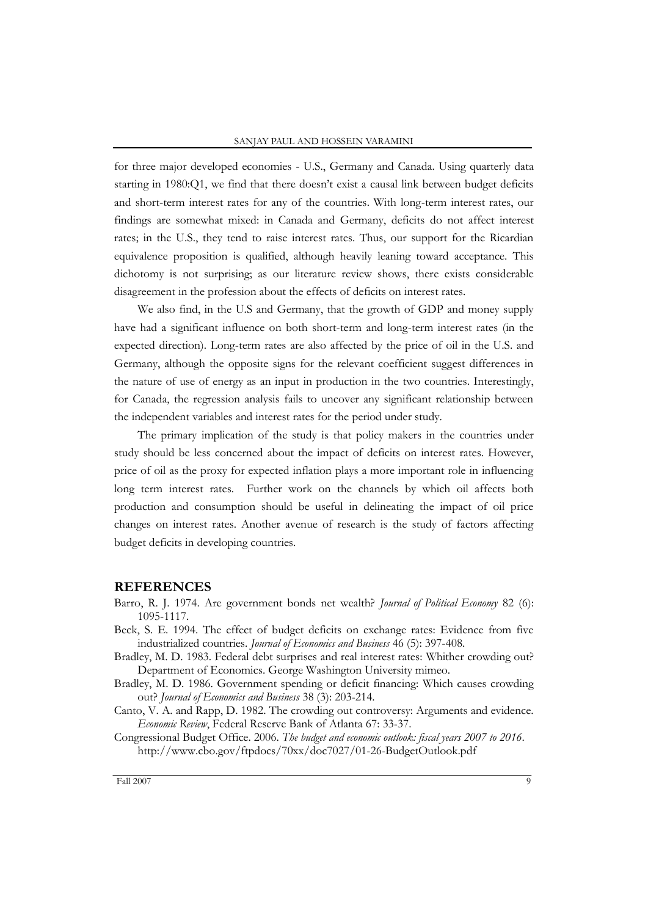for three major developed economies - U.S., Germany and Canada. Using quarterly data starting in 1980:Q1, we find that there doesn't exist a causal link between budget deficits and short-term interest rates for any of the countries. With long-term interest rates, our findings are somewhat mixed: in Canada and Germany, deficits do not affect interest rates; in the U.S., they tend to raise interest rates. Thus, our support for the Ricardian equivalence proposition is qualified, although heavily leaning toward acceptance. This dichotomy is not surprising; as our literature review shows, there exists considerable disagreement in the profession about the effects of deficits on interest rates.

We also find, in the U.S and Germany, that the growth of GDP and money supply have had a significant influence on both short-term and long-term interest rates (in the expected direction). Long-term rates are also affected by the price of oil in the U.S. and Germany, although the opposite signs for the relevant coefficient suggest differences in the nature of use of energy as an input in production in the two countries. Interestingly, for Canada, the regression analysis fails to uncover any significant relationship between the independent variables and interest rates for the period under study.

The primary implication of the study is that policy makers in the countries under study should be less concerned about the impact of deficits on interest rates. However, price of oil as the proxy for expected inflation plays a more important role in influencing long term interest rates. Further work on the channels by which oil affects both production and consumption should be useful in delineating the impact of oil price changes on interest rates. Another avenue of research is the study of factors affecting budget deficits in developing countries.

# **REFERENCES**

- Barro, R. J. 1974. Are government bonds net wealth? *Journal of Political Economy* 82 (6): 1095-1117.
- Beck, S. E. 1994. The effect of budget deficits on exchange rates: Evidence from five industrialized countries. *Journal of Economics and Business* 46 (5): 397-408.
- Bradley, M. D. 1983. Federal debt surprises and real interest rates: Whither crowding out? Department of Economics. George Washington University mimeo.
- Bradley, M. D. 1986. Government spending or deficit financing: Which causes crowding out? *Journal of Economics and Business* 38 (3): 203-214.
- Canto, V. A. and Rapp, D. 1982. The crowding out controversy: Arguments and evidence. *Economic Review*, Federal Reserve Bank of Atlanta 67: 33-37.
- Congressional Budget Office. 2006. *The budget and economic outlook: fiscal years 2007 to 2016*. http://www.cbo.gov/ftpdocs/70xx/doc7027/01-26-BudgetOutlook.pdf